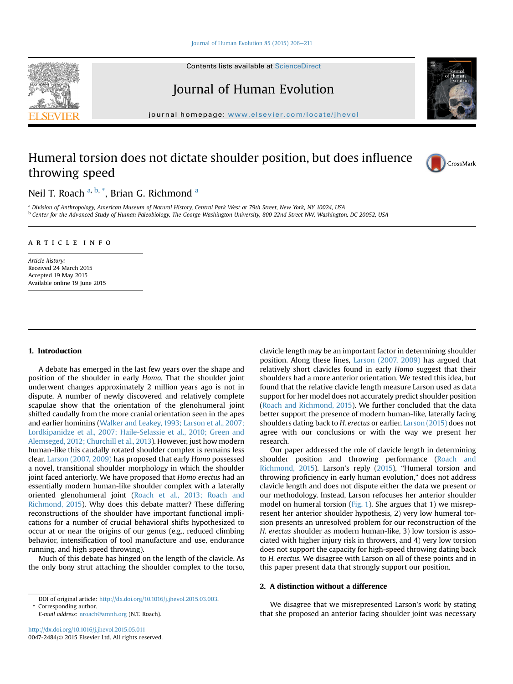Contents lists available at ScienceDirect

# Journal of Human Evolution

journal homepage: [www.elsevier.com/locate/jhevol](http://www.elsevier.com/locate/jhevol)

## Humeral torsion does not dictate shoulder position, but does influence throwing speed



Neil T. Roach <sup>a, b,</sup> \*, Brian G. Richmond <sup>a</sup>

a Division of Anthropology, American Museum of Natural History, Central Park West at 79th Street, New York, NY 10024, USA <sup>b</sup> Center for the Advanced Study of Human Paleobiology, The George Washington University, 800 22nd Street NW, Washington, DC 20052, USA

#### article info

Article history: Received 24 March 2015 Accepted 19 May 2015 Available online 19 June 2015

## 1. Introduction

A debate has emerged in the last few years over the shape and position of the shoulder in early Homo. That the shoulder joint underwent changes approximately 2 million years ago is not in dispute. A number of newly discovered and relatively complete scapulae show that the orientation of the glenohumeral joint shifted caudally from the more cranial orientation seen in the apes and earlier hominins ([Walker and Leakey, 1993; Larson et al., 2007;](#page-5-0) [Lordkipanidze et al., 2007; Haile-Selassie et al., 2010; Green and](#page-5-0) [Alemseged, 2012; Churchill et al., 2013](#page-5-0)). However, just how modern human-like this caudally rotated shoulder complex is remains less clear. [Larson \(2007, 2009\)](#page-5-0) has proposed that early Homo possessed a novel, transitional shoulder morphology in which the shoulder joint faced anteriorly. We have proposed that Homo erectus had an essentially modern human-like shoulder complex with a laterally oriented glenohumeral joint ([Roach et al., 2013; Roach and](#page-5-0) [Richmond, 2015](#page-5-0)). Why does this debate matter? These differing reconstructions of the shoulder have important functional implications for a number of crucial behavioral shifts hypothesized to occur at or near the origins of our genus (e.g., reduced climbing behavior, intensification of tool manufacture and use, endurance running, and high speed throwing).

Much of this debate has hinged on the length of the clavicle. As the only bony strut attaching the shoulder complex to the torso,

Corresponding author.

clavicle length may be an important factor in determining shoulder position. Along these lines, [Larson \(2007, 2009\)](#page-5-0) has argued that relatively short clavicles found in early Homo suggest that their shoulders had a more anterior orientation. We tested this idea, but found that the relative clavicle length measure Larson used as data support for her model does not accurately predict shoulder position ([Roach and Richmond, 2015\)](#page-5-0). We further concluded that the data better support the presence of modern human-like, laterally facing shoulders dating back to H. erectus or earlier. [Larson \(2015\)](#page-5-0) does not agree with our conclusions or with the way we present her research.

Our paper addressed the role of clavicle length in determining shoulder position and throwing performance ([Roach and](#page-5-0) [Richmond, 2015](#page-5-0)). Larson's reply ([2015\)](#page-5-0), "Humeral torsion and throwing proficiency in early human evolution," does not address clavicle length and does not dispute either the data we present or our methodology. Instead, Larson refocuses her anterior shoulder model on humeral torsion [\(Fig. 1](#page-1-0)). She argues that 1) we misrepresent her anterior shoulder hypothesis, 2) very low humeral torsion presents an unresolved problem for our reconstruction of the H. erectus shoulder as modern human-like, 3) low torsion is associated with higher injury risk in throwers, and 4) very low torsion does not support the capacity for high-speed throwing dating back to H. erectus. We disagree with Larson on all of these points and in this paper present data that strongly support our position.

## 2. A distinction without a difference

We disagree that we misrepresented Larson's work by stating that she proposed an anterior facing shoulder joint was necessary



DOI of original article: [http://dx.doi.org/10.1016/j.jhevol.2015.03.003.](http://dx.doi.org/10.1016/j.jhevol.2015.03.003)

E-mail address: [nroach@amnh.org](mailto:nroach@amnh.org) (N.T. Roach).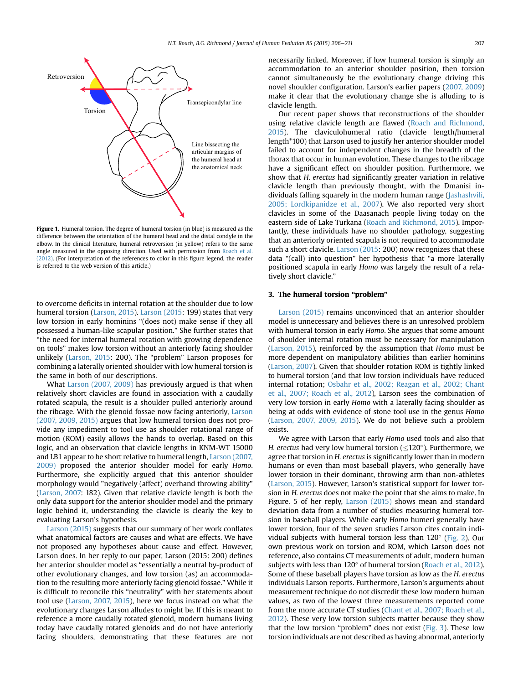<span id="page-1-0"></span>

Figure 1. Humeral torsion. The degree of humeral torsion (in blue) is measured as the difference between the orientation of the humeral head and the distal condyle in the elbow. In the clinical literature, humeral retroversion (in yellow) refers to the same angle measured in the opposing direction. Used with permission from [Roach et al.](#page-5-0) [\(2012\)](#page-5-0). (For interpretation of the references to color in this figure legend, the reader is referred to the web version of this article.)

to overcome deficits in internal rotation at the shoulder due to low humeral torsion [\(Larson, 2015\)](#page-5-0). [Larson \(2015](#page-5-0): 199) states that very low torsion in early hominins "(does not) make sense if they all possessed a human-like scapular position." She further states that "the need for internal humeral rotation with growing dependence on tools" makes low torsion without an anteriorly facing shoulder unlikely [\(Larson, 2015](#page-5-0): 200). The "problem" Larson proposes for combining a laterally oriented shoulder with low humeral torsion is the same in both of our descriptions.

What [Larson \(2007, 2009\)](#page-5-0) has previously argued is that when relatively short clavicles are found in association with a caudally rotated scapula, the result is a shoulder pulled anteriorly around the ribcage. With the glenoid fossae now facing anteriorly, [Larson](#page-5-0) [\(2007, 2009, 2015\)](#page-5-0) argues that low humeral torsion does not provide any impediment to tool use as shoulder rotational range of motion (ROM) easily allows the hands to overlap. Based on this logic, and an observation that clavicle lengths in KNM-WT 15000 and LB1 appear to be short relative to humeral length, [Larson \(2007,](#page-5-0) [2009\)](#page-5-0) proposed the anterior shoulder model for early Homo. Furthermore, she explicitly argued that this anterior shoulder morphology would "negatively (affect) overhand throwing ability" ([Larson, 2007:](#page-5-0) 182). Given that relative clavicle length is both the only data support for the anterior shoulder model and the primary logic behind it, understanding the clavicle is clearly the key to evaluating Larson's hypothesis.

[Larson \(2015\)](#page-5-0) suggests that our summary of her work conflates what anatomical factors are causes and what are effects. We have not proposed any hypotheses about cause and effect. However, Larson does. In her reply to our paper, Larson (2015: 200) defines her anterior shoulder model as "essentially a neutral by-product of other evolutionary changes, and low torsion (as) an accommodation to the resulting more anteriorly facing glenoid fossae." While it is difficult to reconcile this "neutrality" with her statements about tool use [\(Larson, 2007, 2015\)](#page-5-0), here we focus instead on what the evolutionary changes Larson alludes to might be. If this is meant to reference a more caudally rotated glenoid, modern humans living today have caudally rotated glenoids and do not have anteriorly facing shoulders, demonstrating that these features are not necessarily linked. Moreover, if low humeral torsion is simply an accommodation to an anterior shoulder position, then torsion cannot simultaneously be the evolutionary change driving this novel shoulder configuration. Larson's earlier papers [\(2007, 2009\)](#page-5-0) make it clear that the evolutionary change she is alluding to is clavicle length.

Our recent paper shows that reconstructions of the shoulder using relative clavicle length are flawed [\(Roach and Richmond,](#page-5-0) [2015\)](#page-5-0). The claviculohumeral ratio (clavicle length/humeral length\*100) that Larson used to justify her anterior shoulder model failed to account for independent changes in the breadth of the thorax that occur in human evolution. These changes to the ribcage have a significant effect on shoulder position. Furthermore, we show that H. erectus had significantly greater variation in relative clavicle length than previously thought, with the Dmanisi individuals falling squarely in the modern human range ([Jashashvili,](#page-5-0) [2005; Lordkipanidze et al., 2007\)](#page-5-0). We also reported very short clavicles in some of the Daasanach people living today on the eastern side of Lake Turkana ([Roach and Richmond, 2015](#page-5-0)). Importantly, these individuals have no shoulder pathology, suggesting that an anteriorly oriented scapula is not required to accommodate such a short clavicle. [Larson \(2015](#page-5-0): 200) now recognizes that these data "(call) into question" her hypothesis that "a more laterally positioned scapula in early Homo was largely the result of a relatively short clavicle."

## 3. The humeral torsion "problem"

[Larson \(2015\)](#page-5-0) remains unconvinced that an anterior shoulder model is unnecessary and believes there is an unresolved problem with humeral torsion in early Homo. She argues that some amount of shoulder internal rotation must be necessary for manipulation ([Larson, 2015\)](#page-5-0), reinforced by the assumption that Homo must be more dependent on manipulatory abilities than earlier hominins ([Larson, 2007](#page-5-0)). Given that shoulder rotation ROM is tightly linked to humeral torsion (and that low torsion individuals have reduced internal rotation; [Osbahr et al., 2002; Reagan et al., 2002; Chant](#page-5-0) [et al., 2007; Roach et al., 2012\)](#page-5-0), Larson sees the combination of very low torsion in early Homo with a laterally facing shoulder as being at odds with evidence of stone tool use in the genus Homo ([Larson, 2007, 2009, 2015](#page-5-0)). We do not believe such a problem exists.

We agree with Larson that early Homo used tools and also that H. erectus had very low humeral torsion ( $\leq 120^{\circ}$ ). Furthermore, we agree that torsion in H. erectus is significantly lower than in modern humans or even than most baseball players, who generally have lower torsion in their dominant, throwing arm than non-athletes ([Larson, 2015](#page-5-0)). However, Larson's statistical support for lower torsion in H. erectus does not make the point that she aims to make. In Figure. 5 of her reply, [Larson \(2015\)](#page-5-0) shows mean and standard deviation data from a number of studies measuring humeral torsion in baseball players. While early Homo humeri generally have lower torsion, four of the seven studies Larson cites contain individual subjects with humeral torsion less than  $120^{\circ}$  [\(Fig. 2](#page-2-0)). Our own previous work on torsion and ROM, which Larson does not reference, also contains CT measurements of adult, modern human subjects with less than  $120^\circ$  of humeral torsion ([Roach et al., 2012\)](#page-5-0). Some of these baseball players have torsion as low as the H. erectus individuals Larson reports. Furthermore, Larson's arguments about measurement technique do not discredit these low modern human values, as two of the lowest three measurements reported come from the more accurate CT studies [\(Chant et al., 2007; Roach et al.,](#page-4-0) [2012\)](#page-4-0). These very low torsion subjects matter because they show that the low torsion "problem" does not exist ([Fig. 3\)](#page-2-0). These low torsion individuals are not described as having abnormal, anteriorly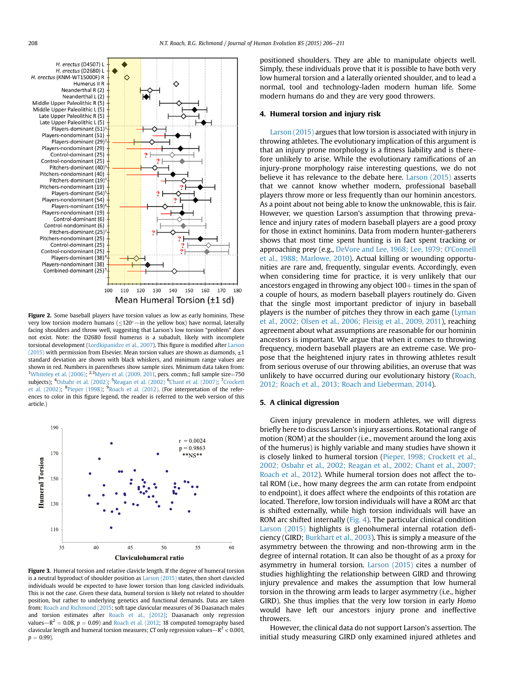<span id="page-2-0"></span>

Figure 2. Some baseball players have torsion values as low as early hominins. These very low torsion modern humans ( $\leq 120^\circ$  -in the yellow box) have normal, laterally facing shoulders and throw well, suggesting that Larson's low torsion "problem" does not exist. Note: the D2680 fossil humerus is a subadult, likely with incomplete torsional development ([Lordkipanidze et al., 2007](#page-5-0)). This figure is modified after [Larson](#page-5-0) [\(2015\)](#page-5-0) with permission from Elsevier. Mean torsion values are shown as diamonds,  $\pm 1$ standard deviation are shown with black whiskers, and minimum range values are shown in red. Numbers in parentheses show sample sizes. Minimum data taken from: <sup>1</sup>[Whiteley et al. \(2006\)](#page-5-0); <sup>2,3</sup>Myers et al. (2009, 2011, pers. comm.; full sample size=750 subjects); <sup>4</sup>[Osbahr et al. \(2002\)](#page-5-0); <sup>5</sup>[Reagan et al. \(2002\)](#page-5-0) <sup>6</sup>[Chant et al. \(2007\)](#page-4-0); <sup>7</sup>[Crockett](#page-4-0) [et al. \(2002\)](#page-4-0); <sup>8</sup>[Pieper \(1998\);](#page-5-0) <sup>9</sup>[Roach et al. \(2012\).](#page-5-0) (For interpretation of the references to color in this figure legend, the reader is referred to the web version of this article.)



Figure 3. Humeral torsion and relative clavicle length. If the degree of humeral torsion is a neutral byproduct of shoulder position as [Larson \(2015\)](#page-5-0) states, then short clavicled individuals would be expected to have lower torsion than long clavicled individuals. This is not the case. Given these data, humeral torsion is likely not related to shoulder position, but rather to underlying genetics and functional demands. Data are taken from: [Roach and Richmond \(2015;](#page-5-0) soft tape clavicular measures of 36 Daasanach males and torsion estimates after [Roach et al., \[2012\]](#page-5-0); Daasanach only regression values $-R^2 = 0.08$ ,  $p = 0.09$ ) and [Roach et al. \(2012;](#page-5-0) 18 computed tomography based clavicular length and humeral torsion measures; CT only regression values $-R^2 < 0.001$ ,  $p = 0.99$ ).

positioned shoulders. They are able to manipulate objects well. Simply, these individuals prove that it is possible to have both very low humeral torsion and a laterally oriented shoulder, and to lead a normal, tool and technology-laden modern human life. Some modern humans do and they are very good throwers.

#### 4. Humeral torsion and injury risk

[Larson \(2015\)](#page-5-0) argues that low torsion is associated with injury in throwing athletes. The evolutionary implication of this argument is that an injury prone morphology is a fitness liability and is therefore unlikely to arise. While the evolutionary ramifications of an injury-prone morphology raise interesting questions, we do not believe it has relevance to the debate here. [Larson \(2015\)](#page-5-0) asserts that we cannot know whether modern, professional baseball players throw more or less frequently than our hominin ancestors. As a point about not being able to know the unknowable, this is fair. However, we question Larson's assumption that throwing prevalence and injury rates of modern baseball players are a good proxy for those in extinct hominins. Data from modern hunter-gatherers shows that most time spent hunting is in fact spent tracking or approaching prey (e.g., [DeVore and Lee, 1968; Lee, 1979; O'Connell](#page-4-0) [et al., 1988; Marlowe, 2010\)](#page-4-0). Actual killing or wounding opportunities are rare and, frequently, singular events. Accordingly, even when considering time for practice, it is very unlikely that our ancestors engaged in throwing any object  $100+$  times in the span of a couple of hours, as modern baseball players routinely do. Given that the single most important predictor of injury in baseball players is the number of pitches they throw in each game ([Lyman](#page-5-0) [et al., 2002; Olsen et al., 2006; Fleisig et al., 2009, 2011\)](#page-5-0), reaching agreement about what assumptions are reasonable for our hominin ancestors is important. We argue that when it comes to throwing frequency, modern baseball players are an extreme case. We propose that the heightened injury rates in throwing athletes result from serious overuse of our throwing abilities, an overuse that was unlikely to have occurred during our evolutionary history [\(Roach,](#page-5-0) [2012; Roach et al., 2013; Roach and Lieberman, 2014](#page-5-0)).

## 5. A clinical digression

Given injury prevalence in modern athletes, we will digress briefly here to discuss Larson's injury assertions. Rotational range of motion (ROM) at the shoulder (i.e., movement around the long axis of the humerus) is highly variable and many studies have shown it is closely linked to humeral torsion ([Pieper, 1998; Crockett et al.,](#page-5-0) [2002; Osbahr et al., 2002; Reagan et al., 2002; Chant et al., 2007;](#page-5-0) [Roach et al., 2012](#page-5-0)). While humeral torsion does not affect the total ROM (i.e., how many degrees the arm can rotate from endpoint to endpoint), it does affect where the endpoints of this rotation are located. Therefore, low torsion individuals will have a ROM arc that is shifted externally, while high torsion individuals will have an ROM arc shifted internally ([Fig. 4\)](#page-3-0). The particular clinical condition [Larson \(2015\)](#page-5-0) highlights is glenohumeral internal rotation deficiency (GIRD; [Burkhart et al., 2003\)](#page-4-0). This is simply a measure of the asymmetry between the throwing and non-throwing arm in the degree of internal rotation. It can also be thought of as a proxy for asymmetry in humeral torsion. [Larson \(2015\)](#page-5-0) cites a number of studies highlighting the relationship between GIRD and throwing injury prevalence and makes the assumption that low humeral torsion in the throwing arm leads to larger asymmetry (i.e., higher GIRD). She thus implies that the very low torsion in early Homo would have left our ancestors injury prone and ineffective throwers.

However, the clinical data do not support Larson's assertion. The initial study measuring GIRD only examined injured athletes and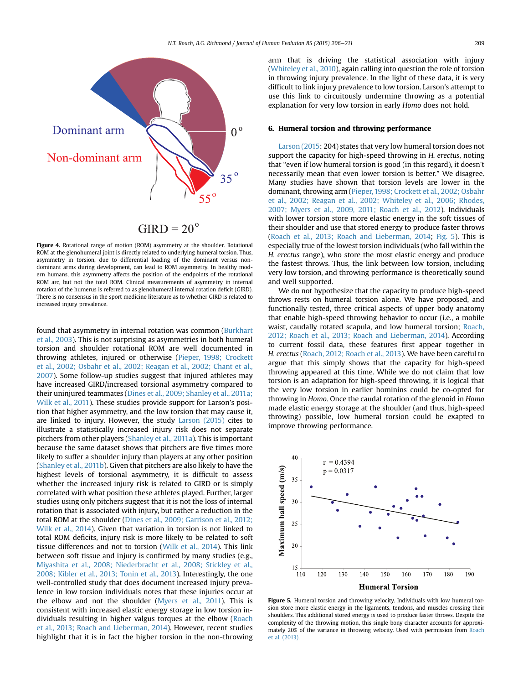<span id="page-3-0"></span>

 $GIRD = 20^{\circ}$ 

Figure 4. Rotational range of motion (ROM) asymmetry at the shoulder. Rotational ROM at the glenohumeral joint is directly related to underlying humeral torsion. Thus, asymmetry in torsion, due to differential loading of the dominant versus nondominant arms during development, can lead to ROM asymmetry. In healthy modern humans, this asymmetry affects the position of the endpoints of the rotational ROM arc, but not the total ROM. Clinical measurements of asymmetry in internal rotation of the humerus is referred to as glenohumeral internal rotation deficit (GIRD). There is no consensus in the sport medicine literature as to whether GIRD is related to increased injury prevalence.

found that asymmetry in internal rotation was common [\(Burkhart](#page-4-0) [et al., 2003\)](#page-4-0). This is not surprising as asymmetries in both humeral torsion and shoulder rotational ROM are well documented in throwing athletes, injured or otherwise [\(Pieper, 1998; Crockett](#page-5-0) [et al., 2002; Osbahr et al., 2002; Reagan et al., 2002; Chant et al.,](#page-5-0) [2007\)](#page-5-0). Some follow-up studies suggest that injured athletes may have increased GIRD/increased torsional asymmetry compared to their uninjured teammates ([Dines et al., 2009; Shanley et al., 2011a;](#page-5-0) [Wilk et al., 2011\)](#page-5-0). These studies provide support for Larson's position that higher asymmetry, and the low torsion that may cause it, are linked to injury. However, the study [Larson \(2015\)](#page-5-0) cites to illustrate a statistically increased injury risk does not separate pitchers from other players ([Shanley et al., 2011a](#page-5-0)). This is important because the same dataset shows that pitchers are five times more likely to suffer a shoulder injury than players at any other position ([Shanley et al., 2011b\)](#page-5-0). Given that pitchers are also likely to have the highest levels of torsional asymmetry, it is difficult to assess whether the increased injury risk is related to GIRD or is simply correlated with what position these athletes played. Further, larger studies using only pitchers suggest that it is not the loss of internal rotation that is associated with injury, but rather a reduction in the total ROM at the shoulder [\(Dines et al., 2009; Garrison et al., 2012;](#page-5-0) [Wilk et al., 2014\)](#page-5-0). Given that variation in torsion is not linked to total ROM deficits, injury risk is more likely to be related to soft tissue differences and not to torsion ([Wilk et al., 2014](#page-5-0)). This link between soft tissue and injury is confirmed by many studies (e.g., [Miyashita et al., 2008; Niederbracht et al., 2008; Stickley et al.,](#page-5-0) [2008; Kibler et al., 2013; Tonin et al., 2013\)](#page-5-0). Interestingly, the one well-controlled study that does document increased injury prevalence in low torsion individuals notes that these injuries occur at the elbow and not the shoulder [\(Myers et al., 2011\)](#page-5-0). This is consistent with increased elastic energy storage in low torsion individuals resulting in higher valgus torques at the elbow ([Roach](#page-5-0) [et al., 2013; Roach and Lieberman, 2014](#page-5-0)). However, recent studies highlight that it is in fact the higher torsion in the non-throwing arm that is driving the statistical association with injury ([Whiteley et al., 2010\)](#page-5-0), again calling into question the role of torsion in throwing injury prevalence. In the light of these data, it is very difficult to link injury prevalence to low torsion. Larson's attempt to use this link to circuitously undermine throwing as a potential explanation for very low torsion in early Homo does not hold.

#### 6. Humeral torsion and throwing performance

[Larson \(2015](#page-5-0): 204) states that very low humeral torsion does not support the capacity for high-speed throwing in H. erectus, noting that "even if low humeral torsion is good (in this regard), it doesn't necessarily mean that even lower torsion is better." We disagree. Many studies have shown that torsion levels are lower in the dominant, throwing arm [\(Pieper, 1998; Crockett et al., 2002; Osbahr](#page-5-0) [et al., 2002; Reagan et al., 2002; Whiteley et al., 2006; Rhodes,](#page-5-0) [2007; Myers et al., 2009, 2011; Roach et al., 2012\)](#page-5-0). Individuals with lower torsion store more elastic energy in the soft tissues of their shoulder and use that stored energy to produce faster throws ([Roach et al., 2013; Roach and Lieberman, 2014](#page-5-0); Fig. 5). This is especially true of the lowest torsion individuals (who fall within the H. erectus range), who store the most elastic energy and produce the fastest throws. Thus, the link between low torsion, including very low torsion, and throwing performance is theoretically sound and well supported.

We do not hypothesize that the capacity to produce high-speed throws rests on humeral torsion alone. We have proposed, and functionally tested, three critical aspects of upper body anatomy that enable high-speed throwing behavior to occur (i.e., a mobile waist, caudally rotated scapula, and low humeral torsion; [Roach,](#page-5-0) [2012; Roach et al., 2013; Roach and Lieberman, 2014\)](#page-5-0). According to current fossil data, these features first appear together in H. erectus ([Roach, 2012; Roach et al., 2013\)](#page-5-0). We have been careful to argue that this simply shows that the capacity for high-speed throwing appeared at this time. While we do not claim that low torsion is an adaptation for high-speed throwing, it is logical that the very low torsion in earlier hominins could be co-opted for throwing in Homo. Once the caudal rotation of the glenoid in Homo made elastic energy storage at the shoulder (and thus, high-speed throwing) possible, low humeral torsion could be exapted to improve throwing performance.



Figure 5. Humeral torsion and throwing velocity. Individuals with low humeral torsion store more elastic energy in the ligaments, tendons, and muscles crossing their shoulders. This additional stored energy is used to produce faster throws. Despite the complexity of the throwing motion, this single bony character accounts for approximately 20% of the variance in throwing velocity. Used with permission from [Roach](#page-5-0) [et al. \(2013\).](#page-5-0)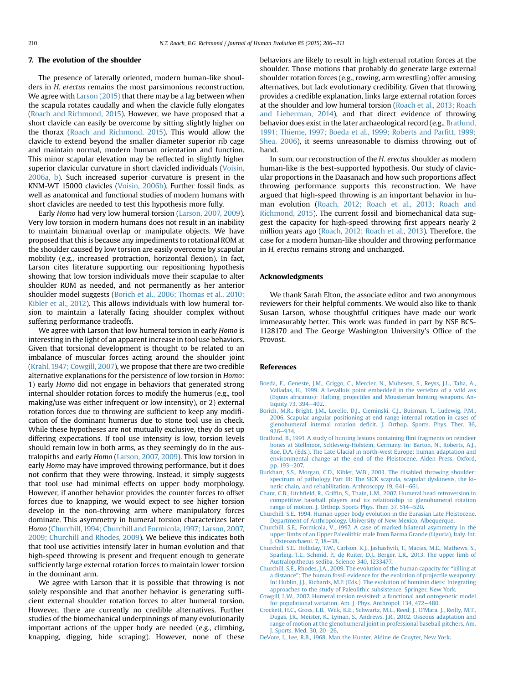#### <span id="page-4-0"></span>7. The evolution of the shoulder

The presence of laterally oriented, modern human-like shoulders in H. erectus remains the most parsimonious reconstruction. We agree with [Larson \(2015\)](#page-5-0) that there may be a lag between when the scapula rotates caudally and when the clavicle fully elongates ([Roach and Richmond, 2015\)](#page-5-0). However, we have proposed that a short clavicle can easily be overcome by sitting slightly higher on the thorax [\(Roach and Richmond, 2015\)](#page-5-0). This would allow the clavicle to extend beyond the smaller diameter superior rib cage and maintain normal, modern human orientation and function. This minor scapular elevation may be reflected in slightly higher superior clavicular curvature in short clavicled individuals [\(Voisin,](#page-5-0) [2006a, b](#page-5-0)). Such increased superior curvature is present in the KNM-WT 15000 clavicles ([Voisin, 2006b\)](#page-5-0). Further fossil finds, as well as anatomical and functional studies of modern humans with short clavicles are needed to test this hypothesis more fully.

Early Homo had very low humeral torsion ([Larson, 2007, 2009\)](#page-5-0). Very low torsion in modern humans does not result in an inability to maintain bimanual overlap or manipulate objects. We have proposed that this is because any impediments to rotational ROM at the shoulder caused by low torsion are easily overcome by scapular mobility (e.g., increased protraction, horizontal flexion). In fact, Larson cites literature supporting our repositioning hypothesis showing that low torsion individuals move their scapulae to alter shoulder ROM as needed, and not permanently as her anterior shoulder model suggests (Borich et al., 2006; Thomas et al., 2010; Kibler et al., 2012). This allows individuals with low humeral torsion to maintain a laterally facing shoulder complex without suffering performance tradeoffs.

We agree with Larson that low humeral torsion in early Homo is interesting in the light of an apparent increase in tool use behaviors. Given that torsional development is thought to be related to an imbalance of muscular forces acting around the shoulder joint ([Krahl, 1947; Cowgill, 2007\)](#page-5-0), we propose that there are two credible alternative explanations for the persistence of low torsion in Homo: 1) early Homo did not engage in behaviors that generated strong internal shoulder rotation forces to modify the humerus (e.g., tool making/use was either infrequent or low intensity), or 2) external rotation forces due to throwing are sufficient to keep any modification of the dominant humerus due to stone tool use in check. While these hypotheses are not mutually exclusive, they do set up differing expectations. If tool use intensity is low, torsion levels should remain low in both arms, as they seemingly do in the australopiths and early Homo ([Larson, 2007, 2009](#page-5-0)). This low torsion in early Homo may have improved throwing performance, but it does not confirm that they were throwing. Instead, it simply suggests that tool use had minimal effects on upper body morphology. However, if another behavior provides the counter forces to offset forces due to knapping, we would expect to see higher torsion develop in the non-throwing arm where manipulatory forces dominate. This asymmetry in humeral torsion characterizes later Homo (Churchill, 1994; Churchill and Formicola, 1997; Larson, 2007, 2009; Churchill and Rhodes, 2009). We believe this indicates both that tool use activities intensify later in human evolution and that high-speed throwing is present and frequent enough to generate sufficiently large external rotation forces to maintain lower torsion in the dominant arm.

We agree with Larson that it is possible that throwing is not solely responsible and that another behavior is generating sufficient external shoulder rotation forces to alter humeral torsion. However, there are currently no credible alternatives. Further studies of the biomechanical underpinnings of many evolutionarily important actions of the upper body are needed (e.g., climbing, knapping, digging, hide scraping). However, none of these behaviors are likely to result in high external rotation forces at the shoulder. Those motions that probably do generate large external shoulder rotation forces (e.g., rowing, arm wrestling) offer amusing alternatives, but lack evolutionary credibility. Given that throwing provides a credible explanation, links large external rotation forces at the shoulder and low humeral torsion ([Roach et al., 2013; Roach](#page-5-0) [and Lieberman, 2014](#page-5-0)), and that direct evidence of throwing behavior does exist in the later archaeological record (e.g., Bratlund, 1991; Thieme, 1997; Boeda et al., 1999; Roberts and Parfitt, 1999; Shea, 2006), it seems unreasonable to dismiss throwing out of hand.

In sum, our reconstruction of the H. erectus shoulder as modern human-like is the best-supported hypothesis. Our study of clavicular proportions in the Daasanach and how such proportions affect throwing performance supports this reconstruction. We have argued that high-speed throwing is an important behavior in human evolution ([Roach, 2012; Roach et al., 2013; Roach and](#page-5-0) [Richmond, 2015\)](#page-5-0). The current fossil and biomechanical data suggest the capacity for high-speed throwing first appears nearly 2 million years ago [\(Roach, 2012; Roach et al., 2013\)](#page-5-0). Therefore, the case for a modern human-like shoulder and throwing performance in H. erectus remains strong and unchanged.

#### Acknowledgments

We thank Sarah Elton, the associate editor and two anonymous reviewers for their helpful comments. We would also like to thank Susan Larson, whose thoughtful critiques have made our work immeasurably better. This work was funded in part by NSF BCS-1128170 and The George Washington University's Office of the Provost.

#### References

- [Boeda, E., Geneste, J.M., Griggo, C., Mercier, N., Muhesen, S., Reyss, J.L., Taha, A.,](http://refhub.elsevier.com/S0047-2484(15)00137-2/sref1) [Valladas, H., 1999. A Levallois point embedded in the vertebra of a wild ass](http://refhub.elsevier.com/S0047-2484(15)00137-2/sref1) [\(Equus africanus\): Hafting, projectiles and Mousterian hunting weapons. An](http://refhub.elsevier.com/S0047-2484(15)00137-2/sref1)tiquity  $73.394 - 402$  $73.394 - 402$ .
- [Borich, M.R., Bright, J.M., Lorello, D.J., Cieminski, C.J., Buisman, T., Ludewig, P.M.,](http://refhub.elsevier.com/S0047-2484(15)00137-2/sref2) [2006. Scapular angular positioning at end range internal rotation in cases of](http://refhub.elsevier.com/S0047-2484(15)00137-2/sref2) glenohumeral internal rotation defi[cit. J. Orthop. Sports. Phys. Ther. 36,](http://refhub.elsevier.com/S0047-2484(15)00137-2/sref2)  $926 - 934.$  $926 - 934.$  $926 - 934.$
- [Bratlund, B., 1991. A study of hunting lesions containing](http://refhub.elsevier.com/S0047-2484(15)00137-2/sref3) flint fragments on reindeer [bones at Stellmoor, Schleswig-Holstein, Germany. In: Barton, N., Roberts, A.J.,](http://refhub.elsevier.com/S0047-2484(15)00137-2/sref3) [Roe, D.A. \(Eds.\), The Late Glacial in north-west Europe: human adaptation and](http://refhub.elsevier.com/S0047-2484(15)00137-2/sref3) [environmental change at the end of the Pleistocene. Alden Press, Oxford,](http://refhub.elsevier.com/S0047-2484(15)00137-2/sref3) [pp. 193](http://refhub.elsevier.com/S0047-2484(15)00137-2/sref3)-[207.](http://refhub.elsevier.com/S0047-2484(15)00137-2/sref3)
- [Burkhart, S.S., Morgan, C.D., Kibler, W.B., 2003. The disabled throwing shoulder:](http://refhub.elsevier.com/S0047-2484(15)00137-2/sref4) [spectrum of pathology Part III: The SICK scapula, scapular dyskinesis, the ki](http://refhub.elsevier.com/S0047-2484(15)00137-2/sref4)[netic chain, and rehabilitation. Arthroscopy 19, 641](http://refhub.elsevier.com/S0047-2484(15)00137-2/sref4)-[661.](http://refhub.elsevier.com/S0047-2484(15)00137-2/sref4)
- Chant, C.B., Litchfield, R., Griffi[n, S., Thain, L.M., 2007. Humeral head retroversion in](http://refhub.elsevier.com/S0047-2484(15)00137-2/sref5) [competitive baseball players and its relationship to glenohumeral rotation](http://refhub.elsevier.com/S0047-2484(15)00137-2/sref5) [range of motion. J. Orthop. Sports Phys. Ther. 37, 514](http://refhub.elsevier.com/S0047-2484(15)00137-2/sref5)–[520](http://refhub.elsevier.com/S0047-2484(15)00137-2/sref5).
- [Churchill, S.E., 1994. Human upper body evolution in the Eurasian Late Pleistocene.](http://refhub.elsevier.com/S0047-2484(15)00137-2/sref6) [Department of Anthropology. University of New Mexico, Albequerque.](http://refhub.elsevier.com/S0047-2484(15)00137-2/sref6)
- [Churchill, S.E., Formicola, V., 1997. A case of marked bilateral asymmetry in the](http://refhub.elsevier.com/S0047-2484(15)00137-2/sref7) [upper limbs of an Upper Paleolithic male from Barma Grande \(Liguria\), Italy. Int.](http://refhub.elsevier.com/S0047-2484(15)00137-2/sref7) [J. Osteoarchaeol. 7, 18](http://refhub.elsevier.com/S0047-2484(15)00137-2/sref7)-[38](http://refhub.elsevier.com/S0047-2484(15)00137-2/sref7).
- [Churchill, S.E., Holliday, T.W., Carlson, K.J., Jashashvili, T., Macias, M.E., Mathews, S.,](http://refhub.elsevier.com/S0047-2484(15)00137-2/sref8) [Sparling, T.L., Schmid, P., de Ruiter, D.J., Berger, L.R., 2013. The upper limb of](http://refhub.elsevier.com/S0047-2484(15)00137-2/sref8) [Australopithecus sediba. Science 340, 1233477.](http://refhub.elsevier.com/S0047-2484(15)00137-2/sref8)
- [Churchill, S.E., Rhodes, J.A., 2009. The evolution of the human capacity for](http://refhub.elsevier.com/S0047-2484(15)00137-2/sref9) "killing at a distance"[: The human fossil evidence for the evolution of projectile weaponry.](http://refhub.elsevier.com/S0047-2484(15)00137-2/sref9) [In: Hublin, J.J., Richards, M.P. \(Eds.\), The evolution of hominin diets: Integrating](http://refhub.elsevier.com/S0047-2484(15)00137-2/sref9) [approaches to the study of Paleolithic subsistence. Springer, New York.](http://refhub.elsevier.com/S0047-2484(15)00137-2/sref9)
- [Cowgill, L.W., 2007. Humeral torsion revisited: a functional and ontogenetic model](http://refhub.elsevier.com/S0047-2484(15)00137-2/sref10) [for populational variation. Am. J. Phys. Anthropol. 134, 472](http://refhub.elsevier.com/S0047-2484(15)00137-2/sref10)-[480](http://refhub.elsevier.com/S0047-2484(15)00137-2/sref10).
- [Crockett, H.C., Gross, L.B., Wilk, K.E., Schwartz, M.L., Reed, J., O'Mara, J., Reilly, M.T.,](http://refhub.elsevier.com/S0047-2484(15)00137-2/sref11) [Dugas, J.R., Meister, K., Lyman, S., Andrews, J.R., 2002. Osseous adaptation and](http://refhub.elsevier.com/S0047-2484(15)00137-2/sref11) [range of motion at the glenohumeral joint in professional baseball pitchers. Am.](http://refhub.elsevier.com/S0047-2484(15)00137-2/sref11) J. Sports. Med. 30,  $20-26$  $20-26$ .
- [DeVore, I., Lee, R.B., 1968. Man the Hunter. Aldine de Gruyter, New York](http://refhub.elsevier.com/S0047-2484(15)00137-2/sref12).